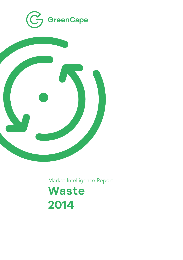



Market Intelligence Report

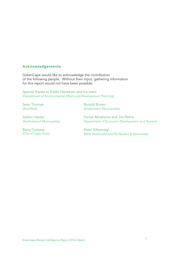### **Acknowledgements**

GreenCape would like to acknowledge the contribution of the following people. Without their input, gathering information for this report would not have been possible:

Special thanks to Eddie Hanekom and his team *(Department of Environmental Affairs and Development Planning)*

Sean Thomas *(Bio2Watt)*

Saliem Haider *(Stellenbosch Municipality)*

Barry Coetzee *(City of Cape Town)* Ronald Brown *(Drakenstein Municipality)*

Fernel Abrahams and Jim Petrie *Department of Economic Development and Tourism)*

Peter Silbernagl *(Mott McDonald and PD Naidoo & Associates)*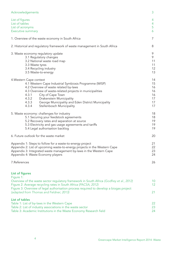| Acknowledgements                                                                                                                                                                                                                                                                                                                                               | 3                                            |
|----------------------------------------------------------------------------------------------------------------------------------------------------------------------------------------------------------------------------------------------------------------------------------------------------------------------------------------------------------------|----------------------------------------------|
| List of figures<br>List of tables<br>List of acronyms<br><b>Executive summary</b>                                                                                                                                                                                                                                                                              | 4<br>4<br>5<br>6                             |
| 1. Overview of the waste economy in South Africa                                                                                                                                                                                                                                                                                                               | 7                                            |
| 2. Historical and regulatory framework of waste management in South Africa                                                                                                                                                                                                                                                                                     | 8                                            |
| 3. Waste economy regulatory update<br>3.1 Regulatory changes<br>3.2 National waste road map<br>3.3 Waste tyres<br>3.4 Recycling industry<br>3.5 Waste-to-energy                                                                                                                                                                                                | 9<br>9<br>11<br>11<br>12<br>13               |
| 4. Western Cape context<br>4.1 Western Cape Industrial Symbiosis Programme (WISP)<br>4.2 Overview of waste related by-laws<br>4.3 Overview of waste-related projects in municipalities<br>4.3.1<br>City of Cape Town<br>4.3.2<br>Drakenstein Municipality<br>4.3.3<br>George Municipality and Eden District Municipality<br>4.3.4<br>Stellenbosch Municipality | 14<br>15<br>16<br>16<br>16<br>17<br>17<br>17 |
| 5. Waste economy: challenges for industry<br>5.1 Securing your feedstock agreements<br>5.2 Recovery rates and separation at source<br>5.3 Electricity and gas usage agreements and tariffs<br>5.4 Legal authorisation backlog                                                                                                                                  | 18<br>18<br>19<br>19<br>19                   |
| 6. Future outlook for the waste market                                                                                                                                                                                                                                                                                                                         | 20                                           |
| Appendix 1: Steps to follow for a waste-to-energy project<br>Appendix 2: List of upcoming waste-to-energy projects in the Western Cape<br>Appendix 3: Integrated waste management by-laws in the Western Cape<br>Appendix 4: Waste Economy players                                                                                                             | 21<br>22<br>23<br>24                         |
| 7.References                                                                                                                                                                                                                                                                                                                                                   | 26                                           |
| List of figures<br>Figure 1:<br>Overview of the waste sector regulatory framework in South Africa (Godfrey et al., 2012)<br>Figure 2: Average recycling rates in South Africa (PACSA, 2012)<br>Figure 3: Overview of legal authorisation process required to develop a biogas project<br>(adapted from Thomas and Feldner; 2013)                               | 10<br>12 <sup>2</sup><br>21                  |
| List of tables<br>Table 1: List of by-laws in the Western Cape<br>Table 2: List of industry associations in the waste sector<br>Table 3: Academic Institutions in the Waste Economy Research field                                                                                                                                                             | 22<br>23<br>24                               |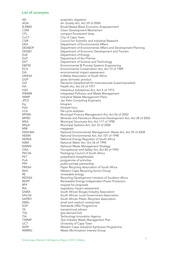# List of acronyms

| AD            | anaerobic digestion                                              |
|---------------|------------------------------------------------------------------|
| AQA           | Air Quality Act, Act 39 of 2004                                  |
| <b>B-BBEE</b> | Broad-Based Black Economic Empowerment                           |
| <b>CDM</b>    | Clean Development Mechanism                                      |
| CFL           | compact fluorescent lamp                                         |
| CoCT          | City of Cape Town                                                |
| <b>CSIR</b>   | Council for Scientific and Industrial Research                   |
| <b>DEA</b>    | Department of Environmental Affairs                              |
| DEA&DP        | Department of Environmental Affairs and Development Planning     |
| DED&T         | Department of Economic Development and Tourism                   |
| DoE           | Department of Energy                                             |
| DoP           | Department of the Premier                                        |
| DST           | Department of Science and Technology                             |
| E&PSE         | Environmental & Process Systems Engineering                      |
| <b>ECA</b>    | Environmental Conservation Act, Act 73 of 1989                   |
| EIA           | environmental impact assessment                                  |
| eWASA         | e-Waste Association of South Africa                              |
| GDP           | gross domestic product                                           |
| GIZ           | Deutsche Gesellschaft für Internationale Zusammenarbeit          |
| НA            | Health Act, Act 63 of 1977                                       |
| <b>HAS</b>    |                                                                  |
| IP&WM         | Hazardous Substances Act, Act 5 of 1973                          |
| <b>IWMP</b>   | Integrated Pollution and Waste Management                        |
|               | Industrial Waste Management Plans                                |
| <b>JPCE</b>   | Jan Palm Consulting Engineers                                    |
| Кg            | kilogram                                                         |
| Kwh           | kilowatt hour                                                    |
| <b>LCA</b>    | life-cycle analyses                                              |
| <b>MFMA</b>   | Municipal Finance Management Act, Act 56 of 2003                 |
| <b>MPRD</b>   | Minerals and Petroleum Resources Development Act, Act 28 of 2003 |
| <b>MSA</b>    | Municipal Structures Act, Act 117 of 1998                        |
| MSyA          | Municipal Systems Act, Act 32 of 2000                            |
| <b>MW</b>     | megawatt                                                         |
| NEM:WA        | National Environmental Management: Waste Act, Act 59 of 2008     |
| <b>NEMA</b>   | National Environmental Act, Act 107 of 1998                      |
| <b>NERSA</b>  | National Energy Regulator of South Africa                        |
| <b>NWA</b>    | National Water Act, Act 36 of 1998                               |
| <b>NWMS</b>   | National Waste Management Strategy                               |
| <b>OSA</b>    | Occupational and Safety Act, Act 85 of 1993                      |
| <b>PACSA</b>  | Packaging Council of South Africa                                |
| PET           | polyethene terephthalate                                         |
| PoA           | programme of activities                                          |
| <b>PPP</b>    | public-private partnership                                       |
| <b>PRASA</b>  | Paper Recycling Association of South Africa                      |
| <b>RAG</b>    | Western Cape Recycling Action Group                              |
| RE            | renewable energy                                                 |
| <b>REDISA</b> | Recycling Development Initiative of Southern Africa              |
| <b>REIPP</b>  | Renewable Energy Independent Power Producers                     |
| <b>RFP</b>    | request for proposals                                            |
| <b>RIA</b>    | regulatory impact assessment                                     |
| <b>SAIBA</b>  | South African Biogas Industry Association                        |
| SALGA         | South African Local Government Association                       |
| <b>SAPRO</b>  | South African Plastic Recyclers Association                      |
| <b>SMEs</b>   | small and medium enterprises                                     |
| SOP           | Standards Offer Programme                                        |
| TA            | transactional advisor                                            |
| TDL.          | tyre-derived fuel                                                |
| <b>TIA</b>    | Technology Innovation Agency                                     |
| <b>TIWMP</b>  | Tyre Industry Waste Management Plan                              |
| <b>UCT</b>    | University of Cape Town                                          |
| <b>WISP</b>   | Western Cape Industrial Symbiosis Programme                      |
| <b>WMRIG</b>  | Waste Minimisation Interest Group                                |
|               |                                                                  |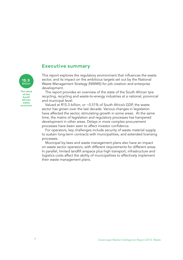## **Executive summary**

This report explores the regulatory environment that influences the waste sector, and its impact on the ambitious targets set out by the National Waste Management Strategy (NWMS) for job creation and enterprise development.

The report provides an overview of the state of the South African tyre recycling, recycling and waste-to-energy industries at a national, provincial and municipal level.

Valued at R15.3 billion, or ~0.51% of South Africa's GDP, the waste sector has grown over the last decade. Various changes in legislation have affected the sector, stimulating growth in some areas. At the same time, the matrix of legislation and regulatory processes has hampered development in other areas. Delays in more complex procurement processes have been seen to affect investor confidence.

For operators, key challenges include security of waste material supply to sustain long-term contracts with municipalities; and extended licensing processes.

Municipal by-laws and waste management plans also have an impact on waste sector operators, with different requirements for different areas. In parallel, limited landfill airspace plus high transport, infrastructure and logistics costs affect the ability of municipalities to effectively implement their waste management plans.

**The value of the South African waste economy**

**15.3 Billion**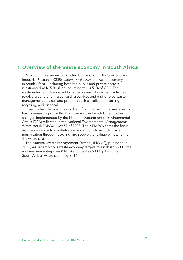### **1. Overview of the waste economy in South Africa**

According to a survey conducted by the Council for Scientific and Industrial Research (CSIR) *(Godfrey et al. 2012),* the waste economy in South Africa – including both the public and private sectors – is estimated at R15.3 billion, equating to ~0.51% of GDP. The waste industry is dominated by large players whose main activities revolve around offering consulting services and end-of-pipe waste management services and products such as collection, sorting, recycling, and disposal.

Over the last decade, the number of companies in the waste sector has increased significantly. This increase can be attributed to the changes implemented by the National Department of Environmental Affairs (DEA) reflected in the National Environmental Management: Waste Act (NEM:WA), Act 59 of 2008. The NEM:WA shifts the focus from end-of-pipe to cradle-to-cradle solutions to include waste minimisation through recycling and recovery of valuable material from the waste streams.

The National Waste Management Strategy (NWMS), published in 2011,has set ambitious waste economy targets to establish 2 600 small and medium enterprises (SMEs) and create 69 000 jobs in the South African waste sector by 2016.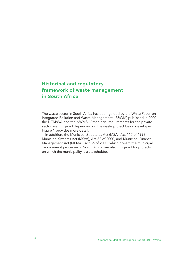# **Historical and regulatory framework of waste management in South Africa**

The waste sector in South Africa has been guided by the White Paper on Integrated Pollution and Waste Management (IP&WM) published in 2000, the NEM:WA and the NWMS. Other legal requirements for the private sector are triggered depending on the waste project being developed. Figure 1 provides more detail.

In addition, the Municipal Structures Act (MSA), Act 117 of 1998, Municipal Systems Act (MSyA), Act 32 of 2000, and Municipal Finance Management Act (MFMA), Act 56 of 2003, which govern the municipal procurement processes in South Africa, are also triggered for projects on which the municipality is a stakeholder.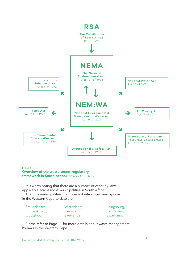

#### Figure 1:

#### Overview of the waste sector regulatory framework in South Africa*(Godfrey et al., 2012)*

It is worth noting that there are a number of other by-laws applicable across most municipalities in South Africa.

The only municipalities that have not introduced any by-laws in the Western Cape to date are:

| Stellenbosch,  | Witzenberg, | Laingsburg, |
|----------------|-------------|-------------|
| Prince Albert. | George,     | Kannaland,  |
| Oudtshoorn,    | Swellendam  | Swartland.  |

Please refer to Page 11 for more details about waste management by-laws in the Western Cape.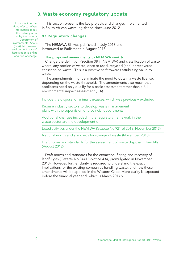# **3. Waste economy regulatory update**

For more information, refer to: Waste Information Today, the online journal run by the national Department of Environmental Affairs (DEA), http://sawic. environment.gov.za/. Registration is online and free of charge.

This section presents the key projects and changes implemented in South African waste legislation since June 2012.

#### **3.1 Regulatory changes**

The NEM:WA Bill was published in July 2013 and introduced to Parliament in August 2013.

#### The proposed amendments to NEM:WA seek to:

Change the definition (Section 38 in NEM:WA) and classification of waste where 'any portion of waste, once re-used, recycled [and] or recovered, ceases to be waste'. This is a positive shift towards attributing value to waste.

The amendments might eliminate the need to obtain a waste license, depending on the waste thresholds. The amendments also mean that applicants need only qualify for a basic assessment rather than a full environmental impact assessment (EIA)

Include the disposal of animal carcasses, which was previously excluded

Require industry sectors to develop waste management plans with the supervision of provincial departments.

Additional changes included in the regulatory framework in the waste sector are the development of:

Listed activities under the NEM:WA (Gazette No 921 of 2013, November 2013)

National norms and standards for storage of waste (November 2013)

Draft norms and standards for the assessment of waste disposal in landfills (August 2012)

Draft norms and standards for the extraction, flaring and recovery of landfill gas (Gazette No 34416-Notice 434, promulgated in November 2013). However, further clarity is required to understand the exact implications for the existing companies handling waste, and how these amendments will be applied in the Western Cape. More clarity is expected before the financial year end, which is March 2014.v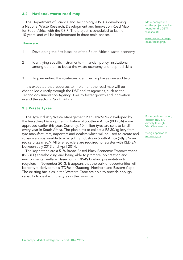#### **3.2 National waste road map**

The Department of Science and Technology (DST) is developing a National Waste Research, Development and Innovation Road Map for South Africa with the CSIR. The project is scheduled to last for 10 years, and will be implemented in three main phases.

#### These are:

|   | Developing the first baseline of the South African waste economy.                                                                     |
|---|---------------------------------------------------------------------------------------------------------------------------------------|
| 2 | Identifying specific instruments - financial, policy, institutional,<br>among others - to boost the waste economy and required skills |
| 3 | Implementing the strategies identified in phases one and two.                                                                         |

It is expected that resources to implement the road map will be channelled directly through the DST and its agencies, such as the Technology Innovation Agency (TIA), to foster growth and innovation in and the sector in South Africa.

#### **3.3 Waste tyres**

The Tyre Industry Waste Management Plan (TIWMP) – developed by the Recycling Development Initiative of Southern Africa (REDISA) – was approved earlier this year. Currently, 10 million tyres are sent to landfill every year in South Africa. The plan aims to collect a R2,30/kg levy from tyre manufacturers, importers and dealers which will be used to create and subsidise a sustainable tyre recycling industry in South Africa (http://www. redisa.org.za/faq/). All tyre recyclers are required to register with REDISA between July 2013 and April 2014.

The key criteria are a 51% Broad-Based Black Economic Empowerment (B-BBEE) shareholding and being able to promote job creation and environmental welfare. Based on REDISA's briefing presentation to recyclers in November 2013, it appears that the bulk of opportunities will be for tyre-derived fuels (TDFs) in Gauteng, Northern and Eastern Cape. The existing facilities in the Western Cape are able to provide enough capacity to deal with the tyres in the province.

More background on the project can be found on the DST's website at:

www.wasteroadmap. co.za/index.php.

For more information, contact REDISA directly through Vish Gianpersad at:

vish.gianpersad@ redisa.org.za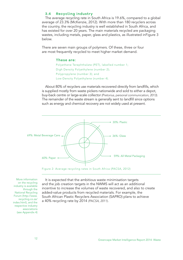#### **3.4 Recycling industry**

The average recycling rate in South Africa is 19.6%, compared to a global average of 23.3% (McKenzie, 2012). With more than 180 recyclers across the country, the recycling industry is well established in South Africa, and has existed for over 20 years. The main materials recycled are packaging wastes, including metals, paper, glass and plastics, as illustrated inFigure 3 below.

There are seven main groups of polymers. Of these, three or four are most frequently recycled to meet higher market demand.

#### **These are:**

Polyethene Terephthalate (PET), labelled number 1; Digh Density Polyethylene (number 2); Polypropylene (number 3); and Low-Density Polyethylene (number 4).

About 80% of recyclers use materials recovered directly from landfills, which is supplied mostly from waste pickers nationwide and sold to either a depot, buy-back centre or large-scale collector *(Pretorius, personal communication, 2013)*. The remainder of the waste stream is generally sent to landfill since options such as energy and chemical recovery are not widely used at present.





More information on the recycling industry is available through the National Recycling Forum (http://www. recycling.co.za/ index.html), and the respective industry associations (see Appendix 4)

It is expected that the ambitious waste minimisation targets and the job creation targets in the NWMS will act as an additional incentive to increase the volumes of waste recovered, and also to create added-value products from recycled materials. For example, the South African Plastic Recyclers Association (SAPRO) plans to achieve a 40% recycling rate by 2014 *(PACSA, 2011)*.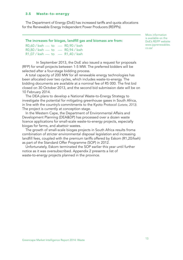#### **3.5 Waste-to-energy**

The Department of Energy (DoE) has increased tariffs and quota allocations for the Renewable Energy Independent Power Producers (REIPPs).

#### The increases for biogas, landfill gas and biomass are from:

 $R0,60 /$  kwh  $-$  to  $-$  R0,90 / kwh  $R0.80 / kwh$  to  $R0.94 / kwh$  $R1,07 /$  kwh  $-$  to  $-$  R1,40 / kwh

In September 2013, the DoE also issued a request for proposals (RFP) for small projects between 1-5 MW. The preferred bidders will be selected after a four-stage bidding process.

A total capacity of 200 MW for all renewable energy technologies has been allocated over two cycles, which includes waste-to-energy. The bidding documents are available at a nominal fee of R5 000. The first bid closed on 30 October 2013, and the second bid submission date will be on 10 February 2014.

The DEA plans to develop a National Waste-to-Energy Strategy to investigate the potential for mitigating greenhouse gases in South Africa, in line with the country's commitments to the Kyoto Protocol *(Letete, 2013).*  The project is currently at conception stage.

In the Western Cape, the Department of Environmental Affairs and Development Planning (DEA&DP) has processed over a dozen waste licence applications for small-scale waste-to-energy projects, especially biogas for farms, and abattoir wastes.

The growth of small-scale biogas projects in South Africa results froma combination of stricter environmental disposal legislation and increasing landfill fees, coupled with the premium tariffs offered by Eskom (R1,20/kwh) as part of the Standard Offer Programme (SOP) in 2012.

Unfortunately, Eskom terminated the SOP earlier this year until further notice as it was oversubscribed. Appendix 2 presents a list of waste-to-energy projects planned in the province.

More information is available on the DoE's REIPP website www.ipprenewables. co.za/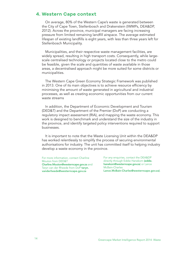### **4. Western Cape context**

On average, 80% of the Western Cape's waste is generated between the City of Cape Town, Stellenbosch and Drakenstein (IWMPs, DEA&DP, 2012). Across the province, municipal managers are facing increasing pressure from limited remaining landfill airspace. The average estimated lifespan of existing landfills is eight years, with less than three years left for Stellenbosch Municipality.

Municipalities, and their respective waste management facilities, are widely spread, resulting in high transport costs. Consequently, while largescale centralised technology or projects located close to the metro could be feasible, given the scale and quantities of waste available in those areas, a decentralised approach might be more suited for some districts or municipalities.

The Western Cape Green Economy Strategic Framework was published in 2013. One of its main objectives is to achieve resource efficiency by minimising the amount of waste generated in agricultural and industrial processes, as well as creating economic opportunities from our current waste streams

In addition, the Department of Economic Development and Tourism (DED&T) and the Department of the Premier (DoP) are conducting a regulatory impact assessment (RIA), and mapping the waste economy. This work is designed to benchmark and understand the size of the industry in the province, and identify targeted policy interventions required to support businesses.

It is important to note that the Waste Licensing Unit within the DEA&DP has worked relentlessly to simplify the process of securing environmental authorisations for industry. The unit has committed itself to helping industry develop a waste economy in the province.

For more information, contact Charline Mouton from DED&T Charline.Mouton@westerncape.gov.za and Taryn van der Rheede from DoP taryn.

vanderheede@westerncape.gov.za

For any enquiries, contact the DEA&DP directly through Eddie Hanekom (eddie. hanekom@westerncape.gov.za) or Lance McBain-Charles Lance.McBain-Charles@westerncape.gov.za).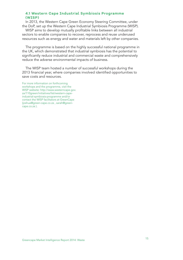#### **4.1 Western Cape Industrial Symbiosis Programme (WISP)**

In 2013, the Western Cape Green Economy Steering Committee, under the DoP, set up the Western Cape Industrial Symbiosis Programme (WISP).

WISP aims to develop mutually profitable links between all industrial sectors to enable companies to recover, reprocess and reuse underused resources such as energy and water and materials left by other companies.

The programme is based on the highly successful national programme in the UK, which demonstrated that industrial symbiosis has the potential to significantly reduce industrial and commercial waste and comprehensively reduce the adverse environmental impacts of business.

The WISP team hosted a number of successful workshops during the 2013 financial year, where companies involved identified opportunities to save costs and resources.

For more information on forthcoming workshops and the programme, visit the WISP website: http://www.westerncape.gov. za/110green/initiatives/list/western-capeindustrial-symbiosis-programme and/or contact the WISP facilitators at GreenCape (joshua@green-cape.co.za , sarah@greencape.co.za ).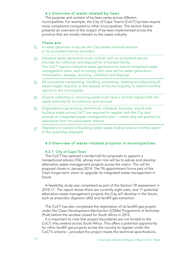#### **4.2 Overview of waste related by-laws**

The purpose and content of by-laws varies across different municipalities. For example, the City of Cape Town's (CoCT) by-laws require more compliance compared to other municipalities. The section below presents an overview of the impact of by-laws implemented across the province that are mostly relevant to the waste industry.

#### **These are:**

- A waste generator must use the City's waste removal services  $\circ$ or its accredited service providers
- Industrial waste generators must contract with an accredited service  $\Omega$ provider for collection and disposal for a licensed facility. The CoCT requires industrial waste generators to submit integrated waste management plans, and to comply with rules set for waste generation, minimisation, storage, recycling, collection and disposal
- All companies transporting, handling, processing, treating and disposing of  $\Omega$ waste maybe required, at the request of the municipality, to submit monthly reports to the municipality
- Anyone collecting or removing waste must have a contract signed with the  $\circ$ waste authority for its collection and removal
- Organisations generating commercial, industrial, business, events and  $\Omega$ building waste across CoCT are required to register with the City and provide an integrated waste management plan – unless they are granted an exemption from the solid waste director
- Disposers or owners of building rubble waste shall provide a monthly report  $\Omega$ of the quantities disposed.

#### **4.3 Overview of waste-related projects in municipalities**

#### 4.3.1 City of Cape Town

The CoCT has opened a tender/call for proposals to appoint a transactional advisor (TA), whose main role will be to advise and develop alternative waste management projects across the metro. The call for proposal closes in January 2014. The TA appointment forms part of the City's longer-term vision to upgrade its integrated waste management in future.

A feasibility study was completed as part of the Section 78 assessment in 2010-11. The report shows there are currently eight sites, and 11 potential alternative waste management projects the City will develop in the future, such as anaerobic digestion (AD) and landfill gas extraction.

The CoCT has also completed the registration of its landfill gas project under the Clean Development Mechanism (CDMs) Programme of Activities (PoA) before the window closed for South Africa in 2012.

It is important to note that project boundaries are not limited to the CoCT; they extend across South Africa. This offers a potential opportunity for other landfill gas projects across the country to register under the CoCT's scheme – provided the project meets the technical specifications.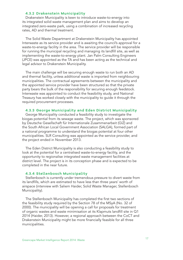#### **4.3.2 Drakenstein Municipality**

Drakenstein Municipality is keen to introduce waste-to-energy into its integrated solid waste management plan and aims to develop an integrated zero-waste park, using a combination of increased recycling rates, AD and thermal treatment.

The Solid Waste Department at Drakenstein Municipality has appointed Interwaste as its service provider and is awaiting the council's approval for a waste-to-energy facility in the area. The service provider will be responsible for running the municipal recycling and managing its landfill site, as well as implementing the waste-to-energy plant. Jan Palm Consulting Engineers (JPCE) was appointed as the TA and has been acting as the technical and legal advisor to Drakenstein Municipality.

The main challenge will be securing enough waste to run both an AD and thermal facility, unless additional waste is imported from neighbouring municipalities. The contractual agreements between the municipality and the appointed service provider have been structured so that the private party bears the bulk of the responsibility for securing enough feedstock. Interwaste was appointed to conduct the feasibility study, and National Treasury has worked closely with the municipality to guide it through the required procurement processes.

#### **4.3.3 George Municipality and Eden District Municipality**

George Municipality conducted a feasibility study to investigate the biogas potential from its sewage waste. The project, which was sponsored by Deutsche Gesellschaft für Internationale Zusammenarbeit (GIZ) and the South African Local Government Association (SALGA), formed part of a national programme to understand the biogas potential at four other municipalities. SLR Consulting was appointed as the service provider, and the project ended in November 2013.

The Eden District Municipality is also conducting a feasibility study to look at the potential for a centralised waste-to-energy facility, and the opportunity to regionalise integrated waste management facilities at district level. The project is in its conception phase and is expected to be completed in the near future.

#### **4.3.4 Stellenbosch Municipality**

Stellenbosch is currently under tremendous pressure to divert waste from its landfills, which are estimated to have less than three years' worth of airspace (interview with Saliem Haider, Solid Waste Manager, Stellenbosch Municipality).

The Stellenbosch Municipality has completed the first two sections of the feasibility study required by the Section 78 of the MSyA (No. 32 of 2000). The municipality will be opening a call for proposals for treatment of organic wastes and waste minimisation at its Klapmuts landfill site in Q1 2014 (Haider, 2013). However, a regional approach between the CoCT and Drakenstein Municipality might be more financially feasible for all three municipalities.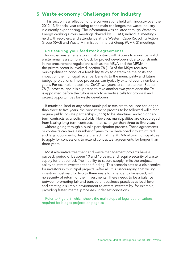# **5. Waste economy: Challenges for industry**

This section is a reflection of the conversations held with industry over the 2012-13 financial year relating to the main challenges the waste industry is currently experiencing. The information was collated through Waste-to-Energy Working Group meetings chaired by DED&T; individual meetings held with recyclers; and attendance at the Western Cape Recycling Action Group (RAG) and Waste Minimisation Interest Group (WMRIG) meetings.

#### **5.1 Securing your feedstock agreements**

Industrial waste generators must contract with Access to municipal solid waste remains a stumbling block for project developers due to constraints in the procurement regulations such as the MSyA and the MFMA. If the private sector is involved, section 78 (1-3) of the MSyA requires municipalities to conduct a feasibility study to determine the costs and impact on the municipal revenue, benefits to the municipality and future budget projections. These processes can typically extend over a number of years. For example, it took the CoCT two years to complete their Section 78 (3) process, and it is expected to take another two years once the TA is appointed before the City is ready to advertise calls for proposal and project opportunities for waste developers.

If municipal land or any other municipal assets are to be used for longer than three to five years, the procurement process to be followed will either require public private partnerships (PPPs) to be structured and/or longerterm contracts as unsolicited bids. However, municipalities are discouraged from issuing long-term contracts – that is, longer than three to five years – without going through a public participation process. These agreements or contracts can take a number of years to be developed into structured and legal documents, despite the fact that the MFMA allows municipalities to apply for concessions to extend contractual agreements for longer than three years.

Most alternative treatment and waste management projects have a payback period of between 10 and 15 years, and require security of waste supply for that period. The inability to secure supply limits the projects' ability to attract investment and funding. This scenario acts as a disincentive for investors in municipal projects. After all, It is discouraging that willing investors must wait for two to three years for a tender to be issued, with no security of return for their investments. There needs to be a balance between promoting fair and transparent business practices at local level, and creating a suitable environment to attract investors by, for example, providing faster internal processes under set conditions.

Refer to Figure 3, which shows the main steps of legal authorisations required for biogas projects on page xx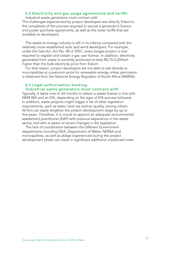#### **5.2 Electricity and gas usage agreements and tariffs**

Industrial waste generators must contract with The challenges experienced by project developers are directly linked to the complexity of the process required to secure a generator's licence and power purchase agreements, as well as the lower tariffs that are available to developers.

The waste-to-energy industry is still in its infancy compared with the relatively more established solar and wind developers. For example, under the Gas Act, Act No. 48 of 2001, every biogas project is now required to register and obtain a gas user license. In addition, electricity generated from waste is currently produced at least R0,15-0,20/kwh higher than the bulk electricity price from Eskom.

For that reason, project developers are not able to sell directly to municipalities at a premium price for renewable energy unless permission is obtained from the National Energy Regulator of South Africa (NERSA).

#### **5.3 Legal authorisation backlog Industrial waste generators must contract with**

Typically, It takes nine to 24 months to obtain a waste license in line with NEM:WA and an EIA, depending on the type of EIA process followed. In addition, waste projects might trigger a list of other legislation requirements, such as water, land use and air quality, among others. All this can easily lengthen the project development stage by up to five years. Therefore, it is crucial to appoint an adequate environmental assessment practitioner (EAP) with previous experience in the waste sector, and who is aware of recent changes in the legislation.

The lack of coordination between the different Government departments including DEA, Department of Water, NERSA and municipalities, as well as delays experienced during the project development phase can result in significant additional unplanned costs.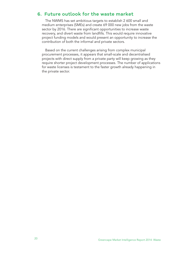# **6. Future outlook for the waste market**

The NWMS has set ambitious targets to establish 2 600 small and medium enterprises (SMEs) and create 69 000 new jobs from the waste sector by 2016. There are significant opportunities to increase waste recovery, and divert waste from landfills. This would require innovative project funding models and would present an opportunity to increase the contribution of both the informal and private sectors.

Based on the current challenges arising from complex municipal procurement processes, it appears that small-scale and decentralised projects with direct supply from a private party will keep growing as they require shorter project development processes. The number of applications for waste licenses is testament to the faster growth already happening in the private sector.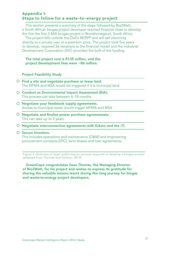### **Appendix 1: Steps to follow for a waste-to-energy project**

This section presents a summary of the steps followed by Bio2Watt, a South African biogas project developer reached financial close to develop the first the first 3 MW biogas project in Bronkhorstspruit, South Africa.

The project falls outside the DoE's REIPPP and will sell electricity directly to a private user at a premium price. The project took five years to develop, required 56 iterations to the financial model and the Industrial Development Corporation (IDC) provided the bulk of the funding.

#### The total project cost is R135 million, and the project development fees were ~R6 million.

#### Project Feasibility Study

- $O$  Find a site and negotiate purchase or lease land. The MFMA and MSA would be triggered if it is municipal land
- O Conduct an Environmental Impact Assessment (EIA); This process can take between 6–18 months
- O Negotiate your feedstock supply agreements. Access to municipal waste would trigger MFMA and MSA
- $\circ$  Negotiate and finalise power purchase agreemenets. This can take up to 2 years
- $\circ$  Negotiate interconnection agreements with Eskom and the (?)

#### O Secure Investors.

This includes operations and maintenance (O&M) and engineering procurement contracts (EPC), term sheets and loan agreements.

Figure 3: Overview of legal authorisation process required to develop a biogas project (adapted from Thomas and Feldner; 2013)

GreenCape congratulates Sean Thomas, the Managing Director of Bio2Watt, for his project and wishes to express its gratitude for sharing the valuable lessons learnt during this long journey for biogas and waste-to-energy project developers.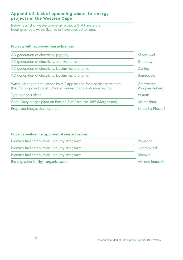## **Appendix 2: List of upcoming waste-to-energy projects in the Western Cape**

Below is a list of waste-to-energy projects that have either been granted a waste licence or have applied for one:

### Projects with approved waste licences

| AD generation of electricity: piggery,                                                                                                 | Klipheuwel                    |
|----------------------------------------------------------------------------------------------------------------------------------------|-------------------------------|
| AD generation of electricity: fruit waste farm,                                                                                        | Grabouw                       |
| AD generation of electricity: bovine manure farm,                                                                                      | Darling                       |
| AD generation of electricity: bovine manure farm,                                                                                      | <b>Bonnievale</b>             |
| Waste Management License (WML) application for a basic assessment<br>(BA) for proposed construction of animal manure storage facility, | Graafwater,<br>Voorpaardeberg |
| Tyre pyrolysis plant,                                                                                                                  | <b>Atlantis</b>               |
| Cape Dairy biogas plant on Portion 3 of Farm No. 589 (Morgenster),                                                                     | Malmesbury                    |
| Proposed biogas development,                                                                                                           | Saldanha Phase 1              |

### Projects waiting for approval of waste licences

| Biomass fuel combustion - poultry litter, farm | Romance           |
|------------------------------------------------|-------------------|
| Biomass fuel combustion - poultry litter, farm | Doornekraal       |
| Biomass fuel combustion - poultry litter, farm | <b>Blomvlei</b>   |
| Bio digestion facility - organic waste,        | Athlone Industria |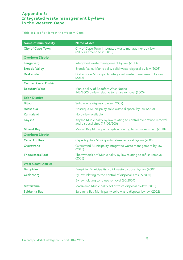### **Appendix 3: Integrated waste management by-laws in the Western Cape**

Table 1: List of by-laws in the Western Cape

| Name of municipality          | <b>Name of Act</b>                                                                                    |
|-------------------------------|-------------------------------------------------------------------------------------------------------|
| <b>City of Cape Town</b>      | City of Cape Town integrated waste management by-law<br>(2009 as amended in 2010)                     |
| <b>Overberg District</b>      |                                                                                                       |
| Langeberg                     | Integrated waste management by-law (2013)                                                             |
| <b>Breede Valley</b>          | Breede Valley Municipality solid waste disposal by-law (2008)                                         |
| <b>Drakenstein</b>            | Drakenstein Municipality integrated waste management by-law<br>(2013)                                 |
| <b>Central Karoo District</b> |                                                                                                       |
| <b>Beaufort West</b>          | Municipality of Beaufort-West Notice<br>146/2005 by-law relating to refuse removal (2005)             |
| <b>Eden District</b>          |                                                                                                       |
| <b>Bitou</b>                  | Solid waste disposal by-law (2002)                                                                    |
| Hessequa                      | Hessequa Municipality solid waste disposal by-law (2008)                                              |
| <b>Kannaland</b>              | No by-law available                                                                                   |
| <b>Knysna</b>                 | Knysna Municipality by-law relating to control over refuse removal<br>and disposal sites (19109/2006) |
| <b>Mossel Bay</b>             | Mossel Bay Municipality by-law relating to refuse removal (2010)                                      |
| <b>Overberg District</b>      |                                                                                                       |
| <b>Cape Agulhas</b>           | Cape Agulhas Municipality refuse removal by-law (2005)                                                |
| <b>Overstrand</b>             | Overstrand Municipality integrated waste management by-law<br>(2013)                                  |
| Theewaterskloof               | Theewaterskloof Municipality by-law relating to refuse removal<br>(2005)                              |
| <b>West Coast District</b>    |                                                                                                       |
| <b>Bergrivier</b>             | Bergrivier Municipality: solid waste disposal by-law (2009)                                           |
| Cederberg                     | By-law relating to the control of disposal sites (7/2004)                                             |
|                               | By-law relating to refuse removal (20/2004)                                                           |
| <b>Matzikama</b>              | Matzikama Municipality solid waste disposal by-law (2010)                                             |
| Saldanha Bay                  | Saldanha Bay Municipality solid waste disposal by-law (2002)                                          |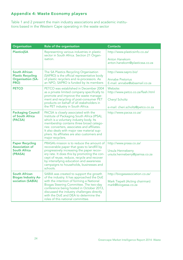# **Appendix 4: Waste Economy players**

Table 1 and 2 present the main industry associations and academic institutions based in the Western Cape operating in the waste sector

| Organisation                                                                         | Role of the organisation                                                                                                                                                                                                                                                                                                                            | <b>Contacts</b>                                                                                             |
|--------------------------------------------------------------------------------------|-----------------------------------------------------------------------------------------------------------------------------------------------------------------------------------------------------------------------------------------------------------------------------------------------------------------------------------------------------|-------------------------------------------------------------------------------------------------------------|
| <b>Plastics SA</b>                                                                   | Representing various industries in plastic<br>sector in South Africa. Section 21 Organ-<br>isation.                                                                                                                                                                                                                                                 | http://www.plasticsinfo.co.za/<br><b>Anton Hanekom</b><br>anton.hanekom@plasticssa.co.za                    |
| <b>South African</b><br><b>Plastic Recycling</b><br><b>Organisation (SA-</b><br>PRO) | The SA Plastics Recycling Organisation<br>(SAPRO) is the official representative body<br>of plastic recyclers and re-processors. As<br>an NPO, SAPRO is funded by its members                                                                                                                                                                       | http://www.sapro.biz/<br>Annabe Pretorius<br>E-mail: annabe@absamail.co.za                                  |
| <b>PETCO</b>                                                                         | PETCO was established in December 2004<br>as a private limited company specifically to<br>promote and improve the waste manage-<br>ment and recycling of post-consumer PET<br>products on behalf of all stakeholders in<br>the PET industry in South Africa.                                                                                        | Website:<br>http://www.petco.co.za/flash.html<br><b>Cheryl Scholtz</b><br>e-mail: cheri.scholtz@petco.co.za |
| <b>Packaging Council</b><br>of South Africa<br>(PACSA)                               | PACSA is closely associated with the<br>Institute of Packaging South Africa (IPSA),<br>which is a voluntary industry body. Its<br>membership contains three broad catego-<br>ries: converters, associates and affiliates.<br>It also deals with major raw material sup-<br>pliers. Its affiliates are also customers and<br>major recyclers.        | http://www.pacsa.co.za/                                                                                     |
| <b>Paper Recycling</b><br><b>Association of</b><br>South Africa<br>(PRASA)           | PRASA's mission is to reduce the amount of<br>recoverable paper that goes to landfill by<br>progressively increasing the paper recov-<br>ery rate. It does this by promoting the con-<br>cept of reuse, reduce, recycle and recover<br>by intensifying education and awareness<br>campaigns to households, businesses and<br>schools.               | http://www.prasa.co.za/<br>Ursula Henneberry<br>ursula.henneberry@pamsa.co.za                               |
| South African<br><b>Biogas Industry As-</b><br>sociation (SABIA)                     | SABIA was created to support the growth<br>of the industry. It has approached the DoE<br>with the intention of forming a National<br>Biogas Steering Committee. The two-day<br>conference being hosted in October 2013,<br>discussed the industry challenges directly<br>with the DoE and DEA to determine the<br>roles of this national committee. | http://biogasassociation.co.za/<br>Mark Tiepelt (Acting chairman)<br>mark@biogassa.co.za                    |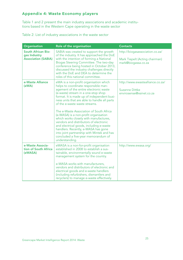# **Appendix 4: Waste Economy players**

Table 1 and 2 present the main industry associations and academic institutions based in the Western Cape operating in the waste sector

| Table 2: List of industry associations in the waste sector |  |  |
|------------------------------------------------------------|--|--|
|------------------------------------------------------------|--|--|

| Organisation                                                     | Role of the organisation                                                                                                                                                                                                                                                                                                                                                                                                                                                                                                                                                                                                                                        | <b>Contacts</b>                                                                          |
|------------------------------------------------------------------|-----------------------------------------------------------------------------------------------------------------------------------------------------------------------------------------------------------------------------------------------------------------------------------------------------------------------------------------------------------------------------------------------------------------------------------------------------------------------------------------------------------------------------------------------------------------------------------------------------------------------------------------------------------------|------------------------------------------------------------------------------------------|
| South African Bio-<br>gas Industry<br><b>Association (SABIA)</b> | SABIA was created to support the growth<br>of the industry. It has approached the DoE<br>with the intention of forming a National<br>Biogas Steering Committee. The two-day<br>conference being hosted in October 2013,<br>discussed the industry challenges directly<br>with the DoE and DEA to determine the<br>roles of this national committee.                                                                                                                                                                                                                                                                                                             | http://biogasassociation.co.za/<br>Mark Tiepelt (Acting chairman)<br>mark@biogassa.co.za |
| e-Waste Alliance<br>(eWA)                                        | eWA is a non-profit organisation which<br>helps to coordinate responsible man-<br>agement of the entire electronic waste<br>(e-waste) stream in a one-stop shop<br>format. It is made up of independent busi-<br>ness units that are able to handle all parts<br>of the e-waste waste streams.<br>The e-Waste Association of South Africa<br>(e-WASA) is a non-profit organisation<br>which works closely with manufactures,<br>vendors and distributors of electronic<br>and electrical goods, including e-waste<br>handlers. Recently, e-WASA has gone<br>into joint partnership with Mintek and has<br>concluded a five-year memorandum of<br>understanding. | http://www.ewastealliance.co.za/<br><b>Suzanne Dittke</b><br>envirosense@xsinet.co.za    |
| e-Waste Associa-<br>tion of South Africa<br>(eWASA)              | eWASA is a non-for-profit organisation<br>established in 2008 to establish a sus-<br>tainable, environmentally sound e-waste<br>management system for the country.<br>e-WASA works with manufacturers,<br>vendors and distributors of electronic and<br>electrical goods and e-waste handlers<br>(including refurbishers, dismantlers and<br>recyclers) to manage e-waste effectively.                                                                                                                                                                                                                                                                          | http://www.ewasa.org/                                                                    |